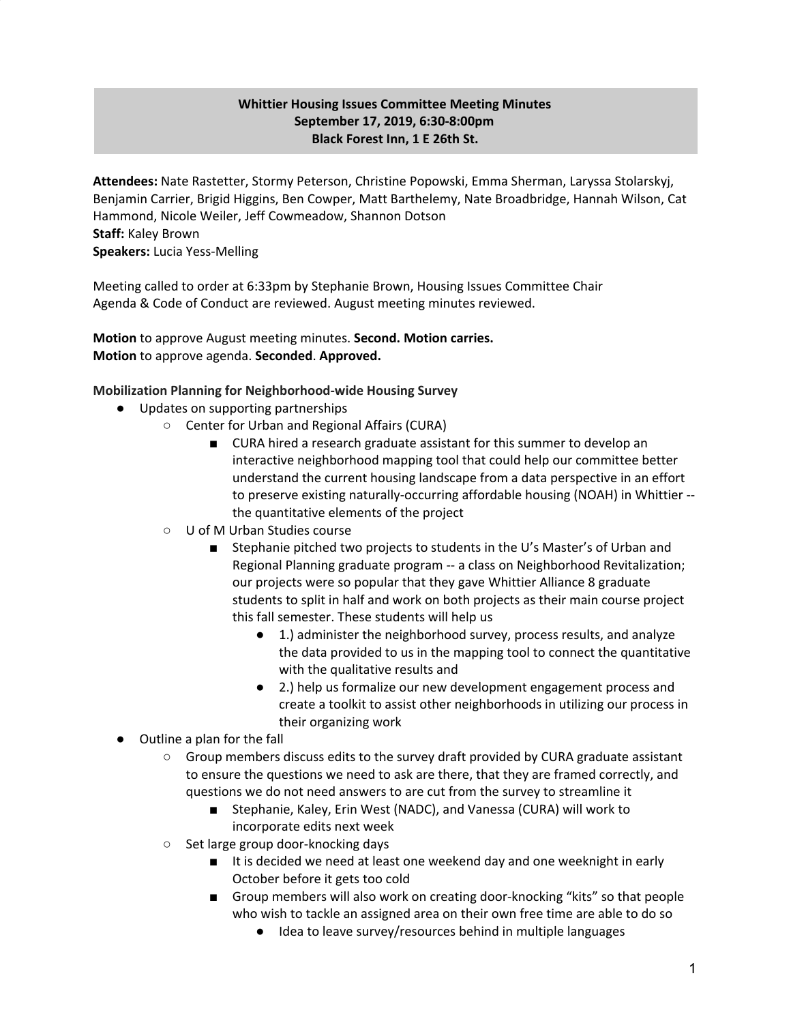# **Whittier Housing Issues Committee Meeting Minutes September 17, 2019, 6:30-8:00pm Black Forest Inn, 1 E 26th St.**

**Attendees:** Nate Rastetter, Stormy Peterson, Christine Popowski, Emma Sherman, Laryssa Stolarskyj, Benjamin Carrier, Brigid Higgins, Ben Cowper, Matt Barthelemy, Nate Broadbridge, Hannah Wilson, Cat Hammond, Nicole Weiler, Jeff Cowmeadow, Shannon Dotson **Staff:** Kaley Brown **Speakers:** Lucia Yess-Melling

Meeting called to order at 6:33pm by Stephanie Brown, Housing Issues Committee Chair Agenda & Code of Conduct are reviewed. August meeting minutes reviewed.

**Motion** to approve August meeting minutes. **Second. Motion carries. Motion** to approve agenda. **Seconded**. **Approved.**

# **Mobilization Planning for Neighborhood-wide Housing Survey**

- Updates on supporting partnerships
	- Center for Urban and Regional Affairs (CURA)
		- CURA hired a research graduate assistant for this summer to develop an interactive neighborhood mapping tool that could help our committee better understand the current housing landscape from a data perspective in an effort to preserve existing naturally-occurring affordable housing (NOAH) in Whittier - the quantitative elements of the project
	- U of M Urban Studies course
		- Stephanie pitched two projects to students in the U's Master's of Urban and Regional Planning graduate program -- a class on Neighborhood Revitalization; our projects were so popular that they gave Whittier Alliance 8 graduate students to split in half and work on both projects as their main course project this fall semester. These students will help us
			- 1.) administer the neighborhood survey, process results, and analyze the data provided to us in the mapping tool to connect the quantitative with the qualitative results and
			- 2.) help us formalize our new development engagement process and create a toolkit to assist other neighborhoods in utilizing our process in their organizing work
- Outline a plan for the fall
	- Group members discuss edits to the survey draft provided by CURA graduate assistant to ensure the questions we need to ask are there, that they are framed correctly, and questions we do not need answers to are cut from the survey to streamline it
		- Stephanie, Kaley, Erin West (NADC), and Vanessa (CURA) will work to incorporate edits next week
	- Set large group door-knocking days
		- It is decided we need at least one weekend day and one weeknight in early October before it gets too cold
		- Group members will also work on creating door-knocking "kits" so that people who wish to tackle an assigned area on their own free time are able to do so
			- Idea to leave survey/resources behind in multiple languages